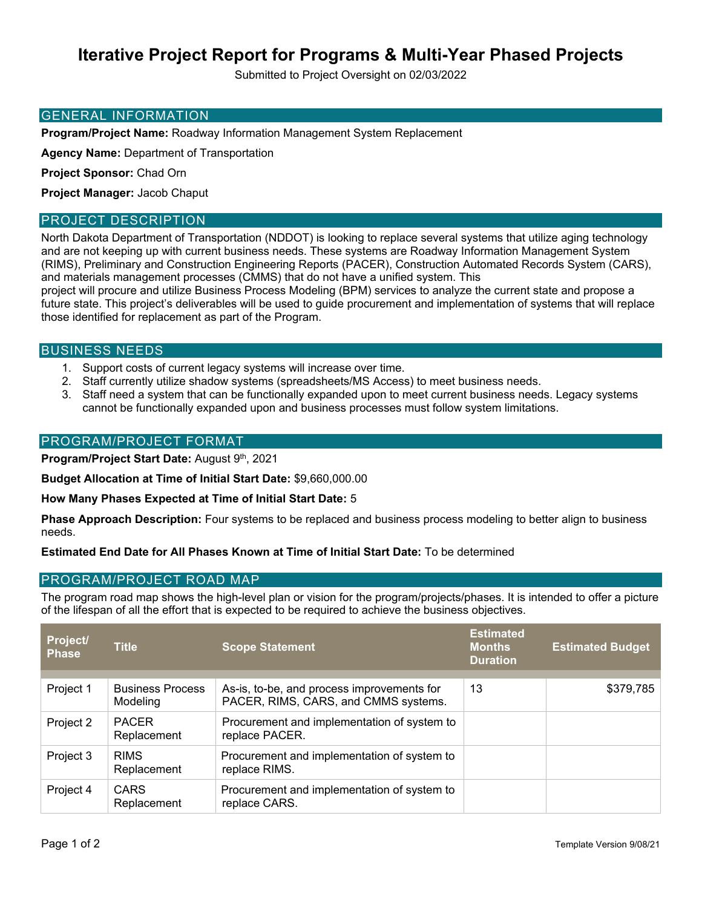# **Iterative Project Report for Programs & Multi-Year Phased Projects**

Submitted to Project Oversight on 02/03/2022

#### GENERAL INFORMATION

**Program/Project Name:** Roadway Information Management System Replacement

**Agency Name:** Department of Transportation

**Project Sponsor:** Chad Orn

**Project Manager:** Jacob Chaput

#### PROJECT DESCRIPTION

North Dakota Department of Transportation (NDDOT) is looking to replace several systems that utilize aging technology and are not keeping up with current business needs. These systems are Roadway Information Management System (RIMS), Preliminary and Construction Engineering Reports (PACER), Construction Automated Records System (CARS), and materials management processes (CMMS) that do not have a unified system. This

project will procure and utilize Business Process Modeling (BPM) services to analyze the current state and propose a future state. This project's deliverables will be used to guide procurement and implementation of systems that will replace those identified for replacement as part of the Program.

#### BUSINESS NEEDS

- 1. Support costs of current legacy systems will increase over time.
- 2. Staff currently utilize shadow systems (spreadsheets/MS Access) to meet business needs.
- 3. Staff need a system that can be functionally expanded upon to meet current business needs. Legacy systems cannot be functionally expanded upon and business processes must follow system limitations.

#### PROGRAM/PROJECT FORMAT

**Program/Project Start Date:** August 9th, 2021

**Budget Allocation at Time of Initial Start Date:** \$9,660,000.00

**How Many Phases Expected at Time of Initial Start Date:** 5

**Phase Approach Description:** Four systems to be replaced and business process modeling to better align to business needs.

#### **Estimated End Date for All Phases Known at Time of Initial Start Date:** To be determined

#### PROGRAM/PROJECT ROAD MAP

The program road map shows the high-level plan or vision for the program/projects/phases. It is intended to offer a picture of the lifespan of all the effort that is expected to be required to achieve the business objectives.

| Project/<br><b>Phase</b> | <b>Title</b>                        | <b>Scope Statement</b>                                                             | <b>Estimated</b><br><b>Months</b><br><b>Duration</b> | <b>Estimated Budget</b> |
|--------------------------|-------------------------------------|------------------------------------------------------------------------------------|------------------------------------------------------|-------------------------|
|                          |                                     |                                                                                    |                                                      |                         |
| Project 1                | <b>Business Process</b><br>Modeling | As-is, to-be, and process improvements for<br>PACER, RIMS, CARS, and CMMS systems. | 13                                                   | \$379,785               |
| Project 2                | <b>PACER</b>                        | Procurement and implementation of system to                                        |                                                      |                         |
|                          | Replacement                         | replace PACER.                                                                     |                                                      |                         |
| Project 3                | <b>RIMS</b>                         | Procurement and implementation of system to                                        |                                                      |                         |
|                          | Replacement                         | replace RIMS.                                                                      |                                                      |                         |
| Project 4                | CARS<br>Replacement                 | Procurement and implementation of system to<br>replace CARS.                       |                                                      |                         |